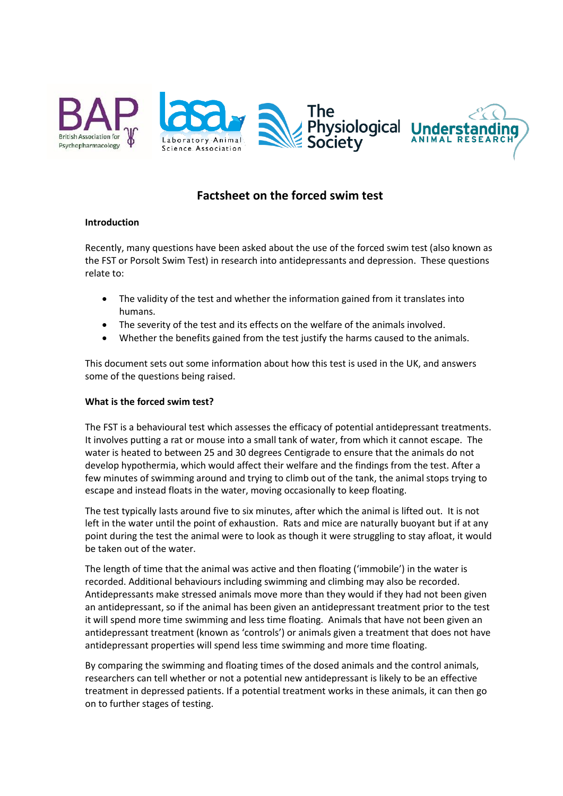

# **Factsheet on the forced swim test**

## **Introduction**

Recently, many questions have been asked about the use of the forced swim test (also known as the FST or Porsolt Swim Test) in research into antidepressants and depression. These questions relate to:

- The validity of the test and whether the information gained from it translates into humans.
- The severity of the test and its effects on the welfare of the animals involved.
- Whether the benefits gained from the test justify the harms caused to the animals.

This document sets out some information about how this test is used in the UK, and answers some of the questions being raised.

## **What is the forced swim test?**

The FST is a behavioural test which assesses the efficacy of potential antidepressant treatments. It involves putting a rat or mouse into a small tank of water, from which it cannot escape. The water is heated to between 25 and 30 degrees Centigrade to ensure that the animals do not develop hypothermia, which would affect their welfare and the findings from the test. After a few minutes of swimming around and trying to climb out of the tank, the animal stops trying to escape and instead floats in the water, moving occasionally to keep floating.

The test typically lasts around five to six minutes, after which the animal is lifted out. It is not left in the water until the point of exhaustion. Rats and mice are naturally buoyant but if at any point during the test the animal were to look as though it were struggling to stay afloat, it would be taken out of the water.

The length of time that the animal was active and then floating ('immobile') in the water is recorded. Additional behaviours including swimming and climbing may also be recorded. Antidepressants make stressed animals move more than they would if they had not been given an antidepressant, so if the animal has been given an antidepressant treatment prior to the test it will spend more time swimming and less time floating. Animals that have not been given an antidepressant treatment (known as 'controls') or animals given a treatment that does not have antidepressant properties will spend less time swimming and more time floating.

By comparing the swimming and floating times of the dosed animals and the control animals, researchers can tell whether or not a potential new antidepressant is likely to be an effective treatment in depressed patients. If a potential treatment works in these animals, it can then go on to further stages of testing.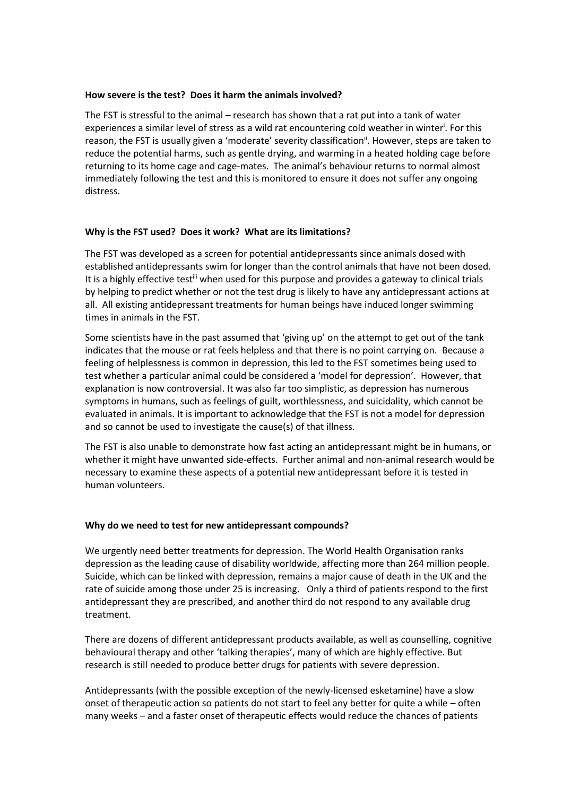#### **How severe is the test? Does it harm the animals involved?**

The FST is stressful to the animal – research has shown that a rat put into a tank of water experiences a similar level of stress as a wild rat encountering cold weather in winter<sup>i</sup>. For this reason, the FST is usually given a 'moderate' severity classification<sup>ii</sup>. However, steps are taken to reduce the potential harms, such as gentle drying, and warming in a heated holding cage before returning to its home cage and cage-mates. The animal's behaviour returns to normal almost immediately following the test and this is monitored to ensure it does not suffer any ongoing distress.

## **Why is the FST used? Does it work? What are its limitations?**

The FST was developed as a screen for potential antidepressants since animals dosed with established antidepressants swim for longer than the control animals that have not been dosed. It is a highly effective test<sup>iii</sup> when used for this purpose and provides a gateway to clinical trials by helping to predict whether or not the test drug is likely to have any antidepressant actions at all. All existing antidepressant treatments for human beings have induced longer swimming times in animals in the FST.

Some scientists have in the past assumed that 'giving up' on the attempt to get out of the tank indicates that the mouse or rat feels helpless and that there is no point carrying on. Because a feeling of helplessness is common in depression, this led to the FST sometimes being used to test whether a particular animal could be considered a 'model for depression'. However, that explanation is now controversial. It was also far too simplistic, as depression has numerous symptoms in humans, such as feelings of guilt, worthlessness, and suicidality, which cannot be evaluated in animals. It is important to acknowledge that the FST is not a model for depression and so cannot be used to investigate the cause(s) of that illness.

The FST is also unable to demonstrate how fast acting an antidepressant might be in humans, or whether it might have unwanted side-effects. Further animal and non-animal research would be necessary to examine these aspects of a potential new antidepressant before it is tested in human volunteers.

## **Why do we need to test for new antidepressant compounds?**

We urgently need better treatments for depression. The World Health Organisation ranks depression as the leading cause of disability worldwide, affecting more than 264 million people. Suicide, which can be linked with depression, remains a major cause of death in the UK and the rate of suicide among those under 25 is increasing. Only a third of patients respond to the first antidepressant they are prescribed, and another third do not respond to any available drug treatment.

There are dozens of different antidepressant products available, as well as counselling, cognitive behavioural therapy and other 'talking therapies', many of which are highly effective. But research is still needed to produce better drugs for patients with severe depression.

Antidepressants (with the possible exception of the newly-licensed esketamine) have a slow onset of therapeutic action so patients do not start to feel any better for quite a while – often many weeks – and a faster onset of therapeutic effects would reduce the chances of patients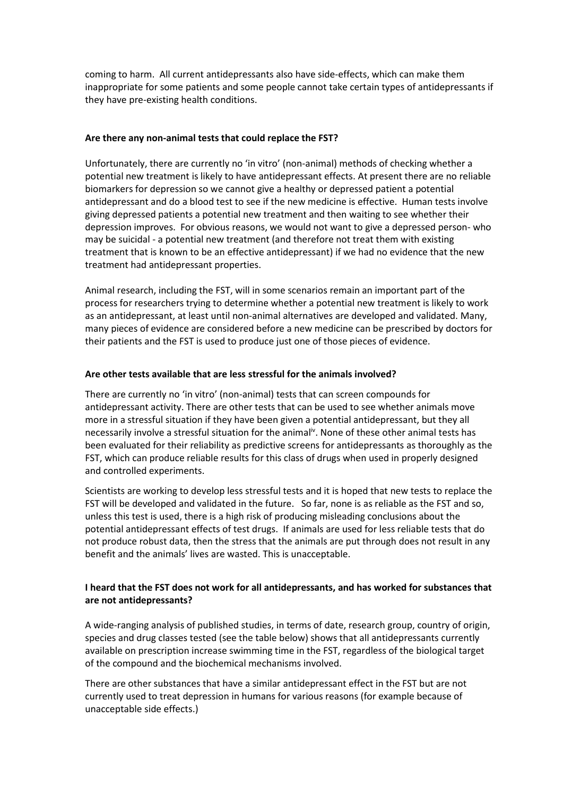coming to harm. All current antidepressants also have side-effects, which can make them inappropriate for some patients and some people cannot take certain types of antidepressants if they have pre-existing health conditions.

## **Are there any non-animal tests that could replace the FST?**

Unfortunately, there are currently no 'in vitro' (non-animal) methods of checking whether a potential new treatment is likely to have antidepressant effects. At present there are no reliable biomarkers for depression so we cannot give a healthy or depressed patient a potential antidepressant and do a blood test to see if the new medicine is effective. Human tests involve giving depressed patients a potential new treatment and then waiting to see whether their depression improves. For obvious reasons, we would not want to give a depressed person- who may be suicidal - a potential new treatment (and therefore not treat them with existing treatment that is known to be an effective antidepressant) if we had no evidence that the new treatment had antidepressant properties.

Animal research, including the FST, will in some scenarios remain an important part of the process for researchers trying to determine whether a potential new treatment is likely to work as an antidepressant, at least until non-animal alternatives are developed and validated. Many, many pieces of evidence are considered before a new medicine can be prescribed by doctors for their patients and the FST is used to produce just one of those pieces of evidence.

## **Are other tests available that are less stressful for the animals involved?**

There are currently no 'in vitro' (non-animal) tests that can screen compounds for antidepressant activity. There are other tests that can be used to see whether animals move more in a stressful situation if they have been given a potential antidepressant, but they all necessarily involve a stressful situation for the animal<sup>iv</sup>. None of these other animal tests has been evaluated for their reliability as predictive screens for antidepressants as thoroughly as the FST, which can produce reliable results for this class of drugs when used in properly designed and controlled experiments.

Scientists are working to develop less stressful tests and it is hoped that new tests to replace the FST will be developed and validated in the future. So far, none is as reliable as the FST and so, unless this test is used, there is a high risk of producing misleading conclusions about the potential antidepressant effects of test drugs. If animals are used for less reliable tests that do not produce robust data, then the stress that the animals are put through does not result in any benefit and the animals' lives are wasted. This is unacceptable.

## **I heard that the FST does not work for all antidepressants, and has worked for substances that are not antidepressants?**

A wide-ranging analysis of published studies, in terms of date, research group, country of origin, species and drug classes tested (see the table below) shows that all antidepressants currently available on prescription increase swimming time in the FST, regardless of the biological target of the compound and the biochemical mechanisms involved.

There are other substances that have a similar antidepressant effect in the FST but are not currently used to treat depression in humans for various reasons (for example because of unacceptable side effects.)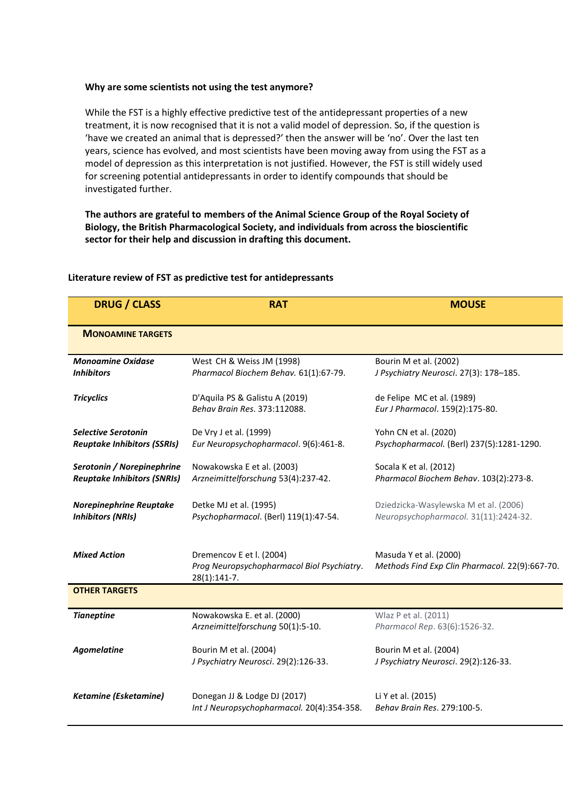#### **Why are some scientists not using the test anymore?**

While the FST is a highly effective predictive test of the antidepressant properties of a new treatment, it is now recognised that it is not a valid model of depression. So, if the question is 'have we created an animal that is depressed?' then the answer will be 'no'. Over the last ten years, science has evolved, and most scientists have been moving away from using the FST as a model of depression as this interpretation is not justified. However, the FST is still widely used for screening potential antidepressants in order to identify compounds that should be investigated further.

**The authors are grateful to members of the Animal Science Group of the Royal Society of Biology, the British Pharmacological Society, and individuals from across the bioscientific sector for their help and discussion in drafting this document.**

| <b>DRUG / CLASS</b>                                              | <b>RAT</b>                                                                               | <b>MOUSE</b>                                                                   |
|------------------------------------------------------------------|------------------------------------------------------------------------------------------|--------------------------------------------------------------------------------|
| <b>MONOAMINE TARGETS</b>                                         |                                                                                          |                                                                                |
| <b>Monoamine Oxidase</b><br><b>Inhibitors</b>                    | West CH & Weiss JM (1998)<br>Pharmacol Biochem Behav. 61(1):67-79.                       | Bourin M et al. (2002)<br>J Psychiatry Neurosci. 27(3): 178-185.               |
| <b>Tricyclics</b>                                                | D'Aquila PS & Galistu A (2019)<br>Behav Brain Res. 373:112088.                           | de Felipe MC et al. (1989)<br>Eur J Pharmacol. 159(2):175-80.                  |
| <b>Selective Serotonin</b><br><b>Reuptake Inhibitors (SSRIs)</b> | De Vry J et al. (1999)<br>Eur Neuropsychopharmacol. 9(6):461-8.                          | Yohn CN et al. (2020)<br>Psychopharmacol. (Berl) 237(5):1281-1290.             |
| Serotonin / Norepinephrine<br><b>Reuptake Inhibitors (SNRIs)</b> | Nowakowska E et al. (2003)<br>Arzneimittelforschung 53(4):237-42.                        | Socala K et al. (2012)<br>Pharmacol Biochem Behav. 103(2):273-8.               |
| Norepinephrine Reuptake<br><b>Inhibitors (NRIs)</b>              | Detke MJ et al. (1995)<br>Psychopharmacol. (Berl) 119(1):47-54.                          | Dziedzicka-Wasylewska M et al. (2006)<br>Neuropsychopharmacol. 31(11):2424-32. |
| <b>Mixed Action</b>                                              | Dremencov E et I. (2004)<br>Prog Neuropsychopharmacol Biol Psychiatry.<br>$28(1):141-7.$ | Masuda Y et al. (2000)<br>Methods Find Exp Clin Pharmacol. 22(9):667-70.       |
| <b>OTHER TARGETS</b>                                             |                                                                                          |                                                                                |
| <b>Tianeptine</b>                                                | Nowakowska E. et al. (2000)<br>Arzneimittelforschung 50(1):5-10.                         | Wlaz P et al. (2011)<br>Pharmacol Rep. 63(6):1526-32.                          |
| <b>Agomelatine</b>                                               | Bourin M et al. (2004)<br>J Psychiatry Neurosci. 29(2):126-33.                           | Bourin M et al. (2004)<br>J Psychiatry Neurosci. 29(2):126-33.                 |
| Ketamine (Esketamine)                                            | Donegan JJ & Lodge DJ (2017)<br>Int J Neuropsychopharmacol. 20(4):354-358.               | Li Y et al. (2015)<br>Behav Brain Res. 279:100-5.                              |

#### **Literature review of FST as predictive test for antidepressants**